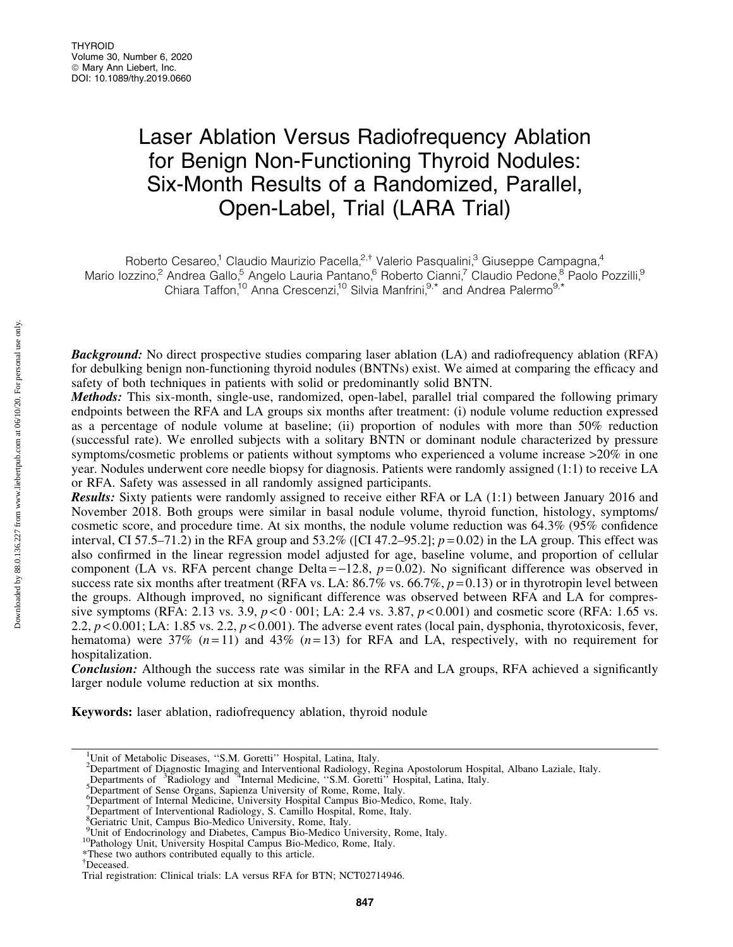# Laser Ablation Versus Radiofrequency Ablation for Benign Non-Functioning Thyroid Nodules: Six-Month Results of a Randomized, Parallel, Open-Label, Trial (LARA Trial)

Roberto Cesareo,<sup>1</sup> Claudio Maurizio Pacella,<sup>2,†</sup> Valerio Pasqualini,<sup>3</sup> Giuseppe Campagna,<sup>4</sup> Mario Iozzino,<sup>2</sup> Andrea Gallo,<sup>5</sup> Angelo Lauria Pantano,<sup>6</sup> Roberto Cianni,<sup>7</sup> Claudio Pedone,<sup>8</sup> Paolo Pozzilli,<sup>9</sup> Chiara Taffon,<sup>10</sup> Anna Crescenzi,<sup>10</sup> Silvia Manfrini,<sup>9,\*</sup> and Andrea Palermo<sup>9,\*</sup>

**Background:** No direct prospective studies comparing laser ablation (LA) and radiofrequency ablation (RFA) for debulking benign non-functioning thyroid nodules (BNTNs) exist. We aimed at comparing the efficacy and safety of both techniques in patients with solid or predominantly solid BNTN.

Methods: This six-month, single-use, randomized, open-label, parallel trial compared the following primary endpoints between the RFA and LA groups six months after treatment: (i) nodule volume reduction expressed as a percentage of nodule volume at baseline; (ii) proportion of nodules with more than 50% reduction (successful rate). We enrolled subjects with a solitary BNTN or dominant nodule characterized by pressure symptoms/cosmetic problems or patients without symptoms who experienced a volume increase  $>20\%$  in one year. Nodules underwent core needle biopsy for diagnosis. Patients were randomly assigned (1:1) to receive LA or RFA. Safety was assessed in all randomly assigned participants.

Results: Sixty patients were randomly assigned to receive either RFA or LA (1:1) between January 2016 and November 2018. Both groups were similar in basal nodule volume, thyroid function, histology, symptoms/ cosmetic score, and procedure time. At six months, the nodule volume reduction was 64.3% (95% confidence interval, CI 57.5–71.2) in the RFA group and 53.2% ([CI 47.2–95.2]; *p* = 0.02) in the LA group. This effect was also confirmed in the linear regression model adjusted for age, baseline volume, and proportion of cellular component (LA vs. RFA percent change Delta  $=$   $-12.8$ ,  $p = 0.02$ ). No significant difference was observed in success rate six months after treatment (RFA vs. LA:  $86.7\%$  vs.  $66.7\%$ ,  $p = 0.13$ ) or in thyrotropin level between the groups. Although improved, no significant difference was observed between RFA and LA for compressive symptoms (RFA: 2.13 vs. 3.9,  $p < 0.001$ ; LA: 2.4 vs. 3.87,  $p < 0.001$ ) and cosmetic score (RFA: 1.65 vs. 2.2, *p* < 0.001; LA: 1.85 vs. 2.2, *p* < 0.001). The adverse event rates (local pain, dysphonia, thyrotoxicosis, fever, hematoma) were 37% (*n* = 11) and 43% (*n* = 13) for RFA and LA, respectively, with no requirement for hospitalization.

**Conclusion:** Although the success rate was similar in the RFA and LA groups, RFA achieved a significantly larger nodule volume reduction at six months.

Keywords: laser ablation, radiofrequency ablation, thyroid nodule

<sup>&</sup>lt;sup>1</sup>Unit of Metabolic Diseases, "S.M. Goretti" Hospital, Latina, Italy.<br><sup>2</sup>Department of Diagnostic Imaging and Interventional Radiology, Regina Apostolorum Hospital, Albano Laziale, Italy.<br>Departments of <sup>3</sup>Radiology and <sup></sup>

<sup>&</sup>lt;sup>5</sup>Department of Sense Organs, Sapienza University of Rome, Rome, Italy.

<sup>&</sup>lt;sup>6</sup>Department of Internal Medicine, University Hospital Campus Bio-Medico, Rome, Italy.

<sup>&</sup>lt;sup>7</sup>Department of Interventional Radiology, S. Camillo Hospital, Rome, Italy.

<sup>8</sup> Geriatric Unit, Campus Bio-Medico University, Rome, Italy.

<sup>&</sup>lt;sup>9</sup>Unit of Endocrinology and Diabetes, Campus Bio-Medico University, Rome, Italy.<br><sup>10</sup>Pathology Unit, University Hospital Campus Bio-Medico, Rome, Italy.

<sup>\*</sup>These two authors contributed equally to this article.

<sup>{</sup> Deceased.

Trial registration: Clinical trials: LA versus RFA for BTN; NCT02714946.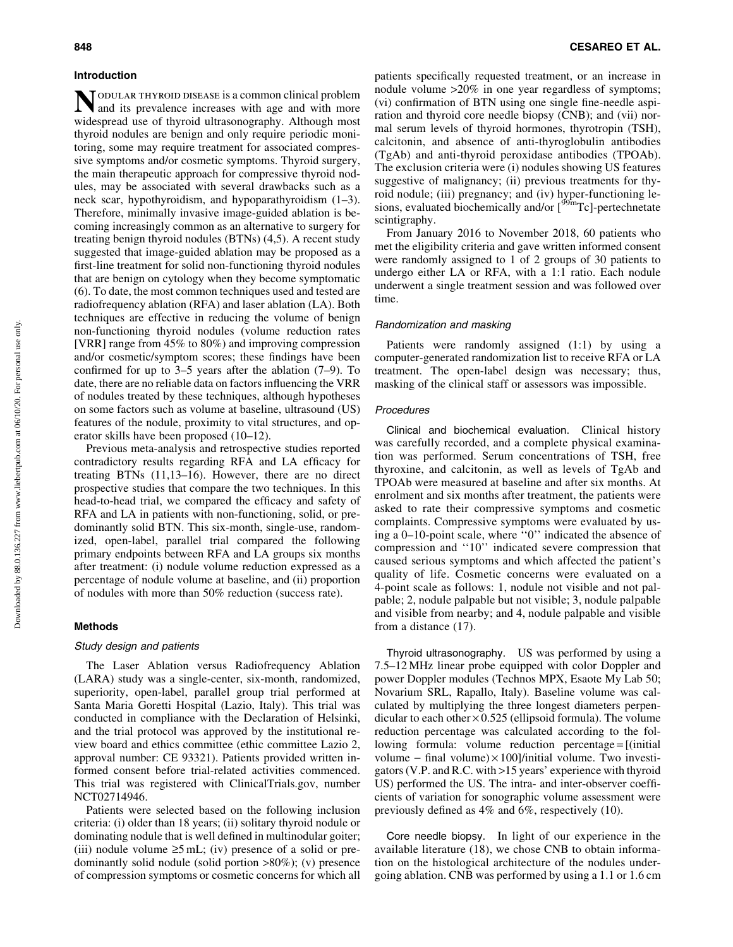#### Introduction

NODULAR THYROID DISEASE is a common clinical problem<br>and its prevalence increases with age and with more widespread use of thyroid ultrasonography. Although most thyroid nodules are benign and only require periodic monitoring, some may require treatment for associated compressive symptoms and/or cosmetic symptoms. Thyroid surgery, the main therapeutic approach for compressive thyroid nodules, may be associated with several drawbacks such as a neck scar, hypothyroidism, and hypoparathyroidism (1–3). Therefore, minimally invasive image-guided ablation is becoming increasingly common as an alternative to surgery for treating benign thyroid nodules (BTNs) (4,5). A recent study suggested that image-guided ablation may be proposed as a first-line treatment for solid non-functioning thyroid nodules that are benign on cytology when they become symptomatic (6). To date, the most common techniques used and tested are radiofrequency ablation (RFA) and laser ablation (LA). Both techniques are effective in reducing the volume of benign non-functioning thyroid nodules (volume reduction rates [VRR] range from 45% to 80%) and improving compression and/or cosmetic/symptom scores; these findings have been confirmed for up to 3–5 years after the ablation (7–9). To date, there are no reliable data on factors influencing the VRR of nodules treated by these techniques, although hypotheses on some factors such as volume at baseline, ultrasound (US) features of the nodule, proximity to vital structures, and operator skills have been proposed (10–12).

Previous meta-analysis and retrospective studies reported contradictory results regarding RFA and LA efficacy for treating BTNs (11,13–16). However, there are no direct prospective studies that compare the two techniques. In this head-to-head trial, we compared the efficacy and safety of RFA and LA in patients with non-functioning, solid, or predominantly solid BTN. This six-month, single-use, randomized, open-label, parallel trial compared the following primary endpoints between RFA and LA groups six months after treatment: (i) nodule volume reduction expressed as a percentage of nodule volume at baseline, and (ii) proportion of nodules with more than 50% reduction (success rate).

## Methods

#### Study design and patients

The Laser Ablation versus Radiofrequency Ablation (LARA) study was a single-center, six-month, randomized, superiority, open-label, parallel group trial performed at Santa Maria Goretti Hospital (Lazio, Italy). This trial was conducted in compliance with the Declaration of Helsinki, and the trial protocol was approved by the institutional review board and ethics committee (ethic committee Lazio 2, approval number: CE 93321). Patients provided written informed consent before trial-related activities commenced. This trial was registered with ClinicalTrials.gov, number NCT02714946.

Patients were selected based on the following inclusion criteria: (i) older than 18 years; (ii) solitary thyroid nodule or dominating nodule that is well defined in multinodular goiter; (iii) nodule volume  $\ge 5$  mL; (iv) presence of a solid or predominantly solid nodule (solid portion >80%); (v) presence of compression symptoms or cosmetic concerns for which all patients specifically requested treatment, or an increase in nodule volume >20% in one year regardless of symptoms; (vi) confirmation of BTN using one single fine-needle aspiration and thyroid core needle biopsy (CNB); and (vii) normal serum levels of thyroid hormones, thyrotropin (TSH), calcitonin, and absence of anti-thyroglobulin antibodies (TgAb) and anti-thyroid peroxidase antibodies (TPOAb). The exclusion criteria were (i) nodules showing US features suggestive of malignancy; (ii) previous treatments for thyroid nodule; (iii) pregnancy; and (iv) hyper-functioning lesions, evaluated biochemically and/or [<sup>99m</sup>Tc]-pertechnetate scintigraphy.

From January 2016 to November 2018, 60 patients who met the eligibility criteria and gave written informed consent were randomly assigned to 1 of 2 groups of 30 patients to undergo either LA or RFA, with a 1:1 ratio. Each nodule underwent a single treatment session and was followed over time.

# Randomization and masking

Patients were randomly assigned (1:1) by using a computer-generated randomization list to receive RFA or LA treatment. The open-label design was necessary; thus, masking of the clinical staff or assessors was impossible.

#### **Procedures**

Clinical and biochemical evaluation. Clinical history was carefully recorded, and a complete physical examination was performed. Serum concentrations of TSH, free thyroxine, and calcitonin, as well as levels of TgAb and TPOAb were measured at baseline and after six months. At enrolment and six months after treatment, the patients were asked to rate their compressive symptoms and cosmetic complaints. Compressive symptoms were evaluated by using a 0–10-point scale, where ''0'' indicated the absence of compression and ''10'' indicated severe compression that caused serious symptoms and which affected the patient's quality of life. Cosmetic concerns were evaluated on a 4-point scale as follows: 1, nodule not visible and not palpable; 2, nodule palpable but not visible; 3, nodule palpable and visible from nearby; and 4, nodule palpable and visible from a distance (17).

Thyroid ultrasonography. US was performed by using a 7.5–12 MHz linear probe equipped with color Doppler and power Doppler modules (Technos MPX, Esaote My Lab 50; Novarium SRL, Rapallo, Italy). Baseline volume was calculated by multiplying the three longest diameters perpendicular to each other  $\times$  0.525 (ellipsoid formula). The volume reduction percentage was calculated according to the following formula: volume reduction percentage = [(initial) volume - final volume) $\times$ 100]/initial volume. Two investigators (V.P. and R.C. with >15 years' experience with thyroid US) performed the US. The intra- and inter-observer coefficients of variation for sonographic volume assessment were previously defined as 4% and 6%, respectively (10).

Core needle biopsy. In light of our experience in the available literature (18), we chose CNB to obtain information on the histological architecture of the nodules undergoing ablation. CNB was performed by using a 1.1 or 1.6 cm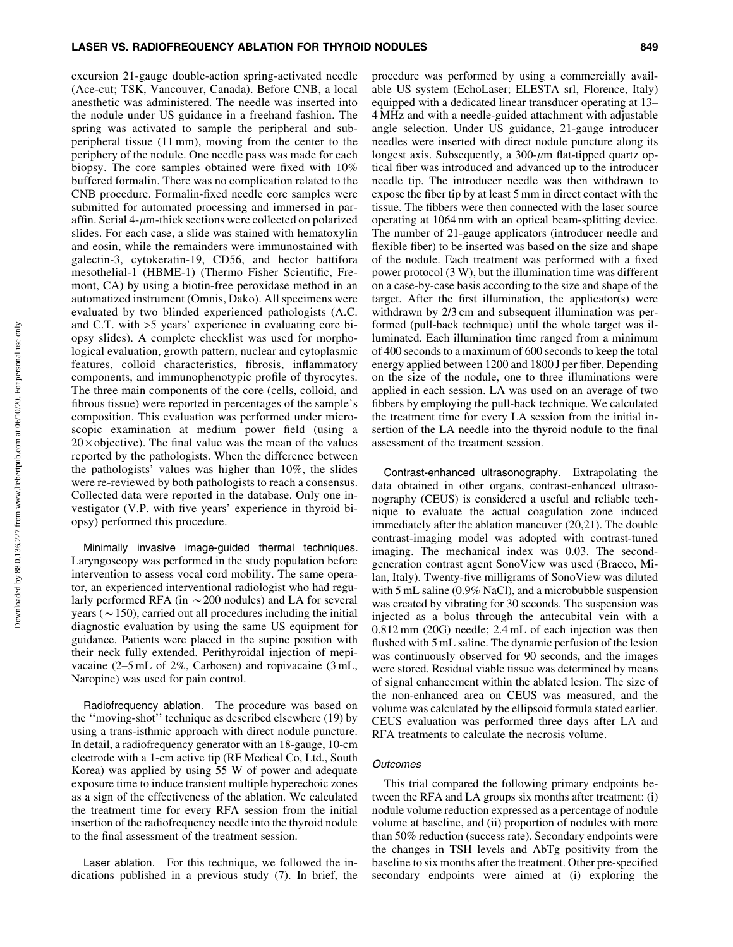#### LASER VS. RADIOFREQUENCY ABLATION FOR THYROID NODULES 849

excursion 21-gauge double-action spring-activated needle (Ace-cut; TSK, Vancouver, Canada). Before CNB, a local anesthetic was administered. The needle was inserted into the nodule under US guidance in a freehand fashion. The spring was activated to sample the peripheral and subperipheral tissue (11 mm), moving from the center to the periphery of the nodule. One needle pass was made for each biopsy. The core samples obtained were fixed with 10% buffered formalin. There was no complication related to the CNB procedure. Formalin-fixed needle core samples were submitted for automated processing and immersed in paraffin. Serial 4- $\mu$ m-thick sections were collected on polarized slides. For each case, a slide was stained with hematoxylin and eosin, while the remainders were immunostained with galectin-3, cytokeratin-19, CD56, and hector battifora mesothelial-1 (HBME-1) (Thermo Fisher Scientific, Fremont, CA) by using a biotin-free peroxidase method in an automatized instrument (Omnis, Dako). All specimens were evaluated by two blinded experienced pathologists (A.C. and C.T. with >5 years' experience in evaluating core biopsy slides). A complete checklist was used for morphological evaluation, growth pattern, nuclear and cytoplasmic features, colloid characteristics, fibrosis, inflammatory components, and immunophenotypic profile of thyrocytes. The three main components of the core (cells, colloid, and fibrous tissue) were reported in percentages of the sample's composition. This evaluation was performed under microscopic examination at medium power field (using a  $20 \times$  objective). The final value was the mean of the values reported by the pathologists. When the difference between the pathologists' values was higher than 10%, the slides were re-reviewed by both pathologists to reach a consensus. Collected data were reported in the database. Only one investigator (V.P. with five years' experience in thyroid biopsy) performed this procedure.

Minimally invasive image-guided thermal techniques. Laryngoscopy was performed in the study population before intervention to assess vocal cord mobility. The same operator, an experienced interventional radiologist who had regularly performed RFA (in  $\sim$  200 nodules) and LA for several years ( $\sim$ 150), carried out all procedures including the initial diagnostic evaluation by using the same US equipment for guidance. Patients were placed in the supine position with their neck fully extended. Perithyroidal injection of mepivacaine (2–5 mL of 2%, Carbosen) and ropivacaine (3 mL, Naropine) was used for pain control.

Radiofrequency ablation. The procedure was based on the ''moving-shot'' technique as described elsewhere (19) by using a trans-isthmic approach with direct nodule puncture. In detail, a radiofrequency generator with an 18-gauge, 10-cm electrode with a 1-cm active tip (RF Medical Co, Ltd., South Korea) was applied by using 55 W of power and adequate exposure time to induce transient multiple hyperechoic zones as a sign of the effectiveness of the ablation. We calculated the treatment time for every RFA session from the initial insertion of the radiofrequency needle into the thyroid nodule to the final assessment of the treatment session.

Laser ablation. For this technique, we followed the indications published in a previous study (7). In brief, the procedure was performed by using a commercially available US system (EchoLaser; ELESTA srl, Florence, Italy) equipped with a dedicated linear transducer operating at 13– 4 MHz and with a needle-guided attachment with adjustable angle selection. Under US guidance, 21-gauge introducer needles were inserted with direct nodule puncture along its longest axis. Subsequently, a  $300$ - $\mu$ m flat-tipped quartz optical fiber was introduced and advanced up to the introducer needle tip. The introducer needle was then withdrawn to expose the fiber tip by at least 5 mm in direct contact with the tissue. The fibbers were then connected with the laser source operating at 1064 nm with an optical beam-splitting device. The number of 21-gauge applicators (introducer needle and flexible fiber) to be inserted was based on the size and shape of the nodule. Each treatment was performed with a fixed power protocol (3 W), but the illumination time was different on a case-by-case basis according to the size and shape of the target. After the first illumination, the applicator(s) were withdrawn by 2/3 cm and subsequent illumination was performed (pull-back technique) until the whole target was illuminated. Each illumination time ranged from a minimum of 400 seconds to a maximum of 600 seconds to keep the total energy applied between 1200 and 1800 J per fiber. Depending on the size of the nodule, one to three illuminations were applied in each session. LA was used on an average of two fibbers by employing the pull-back technique. We calculated the treatment time for every LA session from the initial insertion of the LA needle into the thyroid nodule to the final assessment of the treatment session.

Contrast-enhanced ultrasonography. Extrapolating the data obtained in other organs, contrast-enhanced ultrasonography (CEUS) is considered a useful and reliable technique to evaluate the actual coagulation zone induced immediately after the ablation maneuver (20,21). The double contrast-imaging model was adopted with contrast-tuned imaging. The mechanical index was 0.03. The secondgeneration contrast agent SonoView was used (Bracco, Milan, Italy). Twenty-five milligrams of SonoView was diluted with 5 mL saline (0.9% NaCl), and a microbubble suspension was created by vibrating for 30 seconds. The suspension was injected as a bolus through the antecubital vein with a 0.812 mm (20G) needle; 2.4 mL of each injection was then flushed with 5 mL saline. The dynamic perfusion of the lesion was continuously observed for 90 seconds, and the images were stored. Residual viable tissue was determined by means of signal enhancement within the ablated lesion. The size of the non-enhanced area on CEUS was measured, and the volume was calculated by the ellipsoid formula stated earlier. CEUS evaluation was performed three days after LA and RFA treatments to calculate the necrosis volume.

## **Outcomes**

This trial compared the following primary endpoints between the RFA and LA groups six months after treatment: (i) nodule volume reduction expressed as a percentage of nodule volume at baseline, and (ii) proportion of nodules with more than 50% reduction (success rate). Secondary endpoints were the changes in TSH levels and AbTg positivity from the baseline to six months after the treatment. Other pre-specified secondary endpoints were aimed at (i) exploring the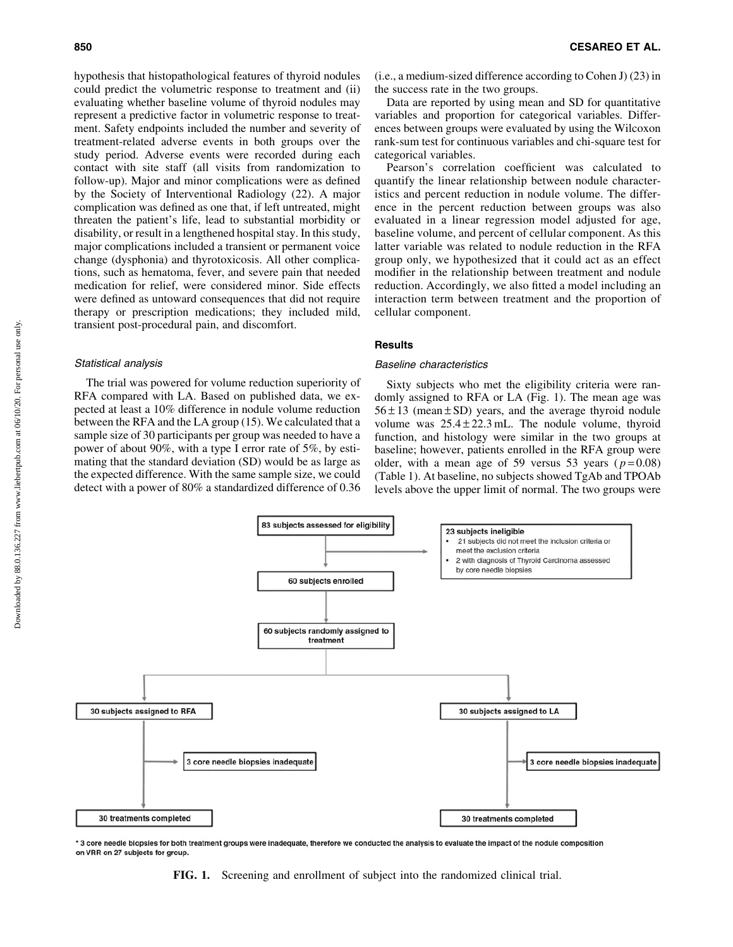hypothesis that histopathological features of thyroid nodules could predict the volumetric response to treatment and (ii) evaluating whether baseline volume of thyroid nodules may represent a predictive factor in volumetric response to treatment. Safety endpoints included the number and severity of treatment-related adverse events in both groups over the study period. Adverse events were recorded during each contact with site staff (all visits from randomization to follow-up). Major and minor complications were as defined by the Society of Interventional Radiology (22). A major complication was defined as one that, if left untreated, might threaten the patient's life, lead to substantial morbidity or disability, or result in a lengthened hospital stay. In this study, major complications included a transient or permanent voice change (dysphonia) and thyrotoxicosis. All other complications, such as hematoma, fever, and severe pain that needed medication for relief, were considered minor. Side effects were defined as untoward consequences that did not require therapy or prescription medications; they included mild, transient post-procedural pain, and discomfort.

# Statistical analysis

The trial was powered for volume reduction superiority of RFA compared with LA. Based on published data, we expected at least a 10% difference in nodule volume reduction between the RFA and the LA group (15). We calculated that a sample size of 30 participants per group was needed to have a power of about 90%, with a type I error rate of 5%, by estimating that the standard deviation (SD) would be as large as the expected difference. With the same sample size, we could detect with a power of 80% a standardized difference of 0.36 (i.e., a medium-sized difference according to Cohen J) (23) in the success rate in the two groups.

Data are reported by using mean and SD for quantitative variables and proportion for categorical variables. Differences between groups were evaluated by using the Wilcoxon rank-sum test for continuous variables and chi-square test for categorical variables.

Pearson's correlation coefficient was calculated to quantify the linear relationship between nodule characteristics and percent reduction in nodule volume. The difference in the percent reduction between groups was also evaluated in a linear regression model adjusted for age, baseline volume, and percent of cellular component. As this latter variable was related to nodule reduction in the RFA group only, we hypothesized that it could act as an effect modifier in the relationship between treatment and nodule reduction. Accordingly, we also fitted a model including an interaction term between treatment and the proportion of cellular component.

## **Results**

#### Baseline characteristics

Sixty subjects who met the eligibility criteria were randomly assigned to RFA or LA (Fig. 1). The mean age was  $56 \pm 13$  (mean  $\pm$  SD) years, and the average thyroid nodule volume was  $25.4 \pm 22.3$  mL. The nodule volume, thyroid function, and histology were similar in the two groups at baseline; however, patients enrolled in the RFA group were older, with a mean age of 59 versus 53 years  $(p=0.08)$ (Table 1). At baseline, no subjects showed TgAb and TPOAb levels above the upper limit of normal. The two groups were



\* 3 core needle biopsies for both treatment groups were inadequate, therefore we conducted the analysis to evaluate the impact of the nodule composition on VRR on 27 subjects for group.

FIG. 1. Screening and enrollment of subject into the randomized clinical trial.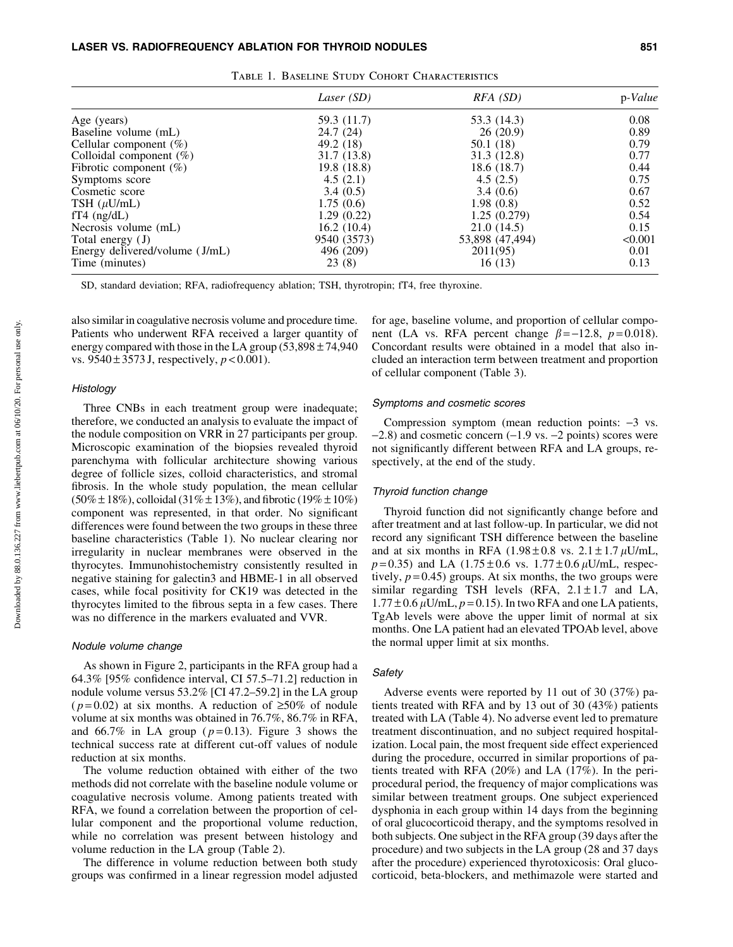|                                | Laser (SD)  | $RFA$ (SD)      | p-Value |
|--------------------------------|-------------|-----------------|---------|
| Age (years)                    | 59.3 (11.7) | 53.3 (14.3)     | 0.08    |
| Baseline volume (mL)           | 24.7 (24)   | 26(20.9)        | 0.89    |
| Cellular component $(\%)$      | 49.2 (18)   | 50.1 (18)       | 0.79    |
| Colloidal component (%)        | 31.7 (13.8) | 31.3(12.8)      | 0.77    |
| Fibrotic component $(\%)$      | 19.8(18.8)  | 18.6 (18.7)     | 0.44    |
| Symptoms score                 | 4.5(2.1)    | 4.5(2.5)        | 0.75    |
| Cosmetic score                 | 3.4(0.5)    | 3.4(0.6)        | 0.67    |
| TSH $(\mu U/mL)$               | 1.75(0.6)   | 1.98(0.8)       | 0.52    |
| $fT4$ (ng/dL)                  | 1.29(0.22)  | 1.25(0.279)     | 0.54    |
| Necrosis volume (mL)           | 16.2(10.4)  | 21.0(14.5)      | 0.15    |
| Total energy (J)               | 9540 (3573) | 53,898 (47,494) | < 0.001 |
| Energy delivered/volume (J/mL) | 496 (209)   | 2011(95)        | 0.01    |
| Time (minutes)                 | 23(8)       | 16(13)          | 0.13    |
|                                |             |                 |         |

Table 1. Baseline Study Cohort Characteristics

SD, standard deviation; RFA, radiofrequency ablation; TSH, thyrotropin; fT4, free thyroxine.

also similar in coagulative necrosis volume and procedure time. Patients who underwent RFA received a larger quantity of energy compared with those in the LA group  $(53,898 \pm 74,940)$ vs.  $9540 \pm 3573$  J, respectively,  $p < 0.001$ ).

# **Histology**

Three CNBs in each treatment group were inadequate; therefore, we conducted an analysis to evaluate the impact of the nodule composition on VRR in 27 participants per group. Microscopic examination of the biopsies revealed thyroid parenchyma with follicular architecture showing various degree of follicle sizes, colloid characteristics, and stromal fibrosis. In the whole study population, the mean cellular  $(50\% \pm 18\%)$ , colloidal  $(31\% \pm 13\%)$ , and fibrotic  $(19\% \pm 10\%)$ component was represented, in that order. No significant differences were found between the two groups in these three baseline characteristics (Table 1). No nuclear clearing nor irregularity in nuclear membranes were observed in the thyrocytes. Immunohistochemistry consistently resulted in negative staining for galectin3 and HBME-1 in all observed cases, while focal positivity for CK19 was detected in the thyrocytes limited to the fibrous septa in a few cases. There was no difference in the markers evaluated and VVR.

#### Nodule volume change

As shown in Figure 2, participants in the RFA group had a 64.3% [95% confidence interval, CI 57.5–71.2] reduction in nodule volume versus 53.2% [CI 47.2–59.2] in the LA group ( $p=0.02$ ) at six months. A reduction of  $\geq 50\%$  of nodule volume at six months was obtained in 76.7%, 86.7% in RFA, and  $66.7\%$  in LA group ( $p=0.13$ ). Figure 3 shows the technical success rate at different cut-off values of nodule reduction at six months.

The volume reduction obtained with either of the two methods did not correlate with the baseline nodule volume or coagulative necrosis volume. Among patients treated with RFA, we found a correlation between the proportion of cellular component and the proportional volume reduction, while no correlation was present between histology and volume reduction in the LA group (Table 2).

The difference in volume reduction between both study groups was confirmed in a linear regression model adjusted for age, baseline volume, and proportion of cellular component (LA vs. RFA percent change  $\beta = -12.8$ ,  $p = 0.018$ ). Concordant results were obtained in a model that also included an interaction term between treatment and proportion of cellular component (Table 3).

#### Symptoms and cosmetic scores

Compression symptom (mean reduction points:  $-3$  vs.  $-2.8$ ) and cosmetic concern  $(-1.9 \text{ vs. } -2 \text{ points})$  scores were not significantly different between RFA and LA groups, respectively, at the end of the study.

## Thyroid function change

Thyroid function did not significantly change before and after treatment and at last follow-up. In particular, we did not record any significant TSH difference between the baseline and at six months in RFA  $(1.98 \pm 0.8 \text{ vs. } 2.1 \pm 1.7 \,\mu\text{U/mL}$ ,  $p=0.35$ ) and LA  $(1.75 \pm 0.6 \text{ vs. } 1.77 \pm 0.6 \mu\text{U/mL}$ , respectively,  $p = 0.45$ ) groups. At six months, the two groups were similar regarding TSH levels (RFA,  $2.1 \pm 1.7$  and LA,  $1.77 \pm 0.6 \,\mu\text{U/mL}, p = 0.15$ ). In two RFA and one LA patients, TgAb levels were above the upper limit of normal at six months. One LA patient had an elevated TPOAb level, above the normal upper limit at six months.

## Safety

Adverse events were reported by 11 out of 30 (37%) patients treated with RFA and by 13 out of 30 (43%) patients treated with LA (Table 4). No adverse event led to premature treatment discontinuation, and no subject required hospitalization. Local pain, the most frequent side effect experienced during the procedure, occurred in similar proportions of patients treated with RFA (20%) and LA (17%). In the periprocedural period, the frequency of major complications was similar between treatment groups. One subject experienced dysphonia in each group within 14 days from the beginning of oral glucocorticoid therapy, and the symptoms resolved in both subjects. One subject in the RFA group (39 days after the procedure) and two subjects in the LA group (28 and 37 days after the procedure) experienced thyrotoxicosis: Oral glucocorticoid, beta-blockers, and methimazole were started and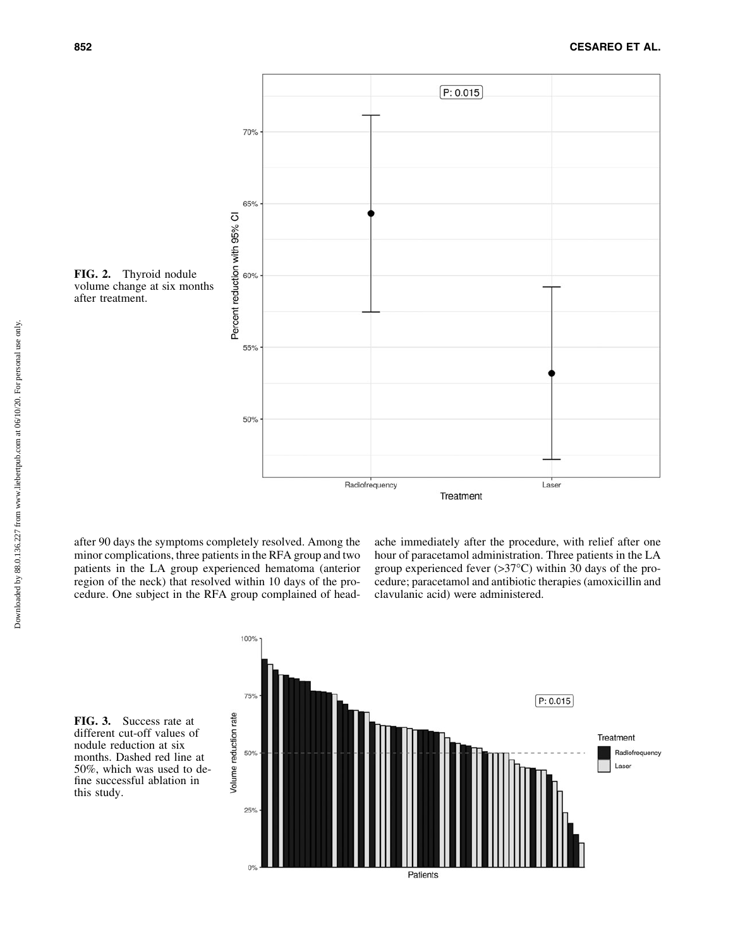

volume change at six months after treatment.

after 90 days the symptoms completely resolved. Among the minor complications, three patients in the RFA group and two patients in the LA group experienced hematoma (anterior region of the neck) that resolved within 10 days of the procedure. One subject in the RFA group complained of headache immediately after the procedure, with relief after one hour of paracetamol administration. Three patients in the LA group experienced fever  $(>37^{\circ}C)$  within 30 days of the procedure; paracetamol and antibiotic therapies (amoxicillin and clavulanic acid) were administered.

FIG. 3. Success rate at different cut-off values of nodule reduction at six months. Dashed red line at 50%, which was used to define successful ablation in this study.

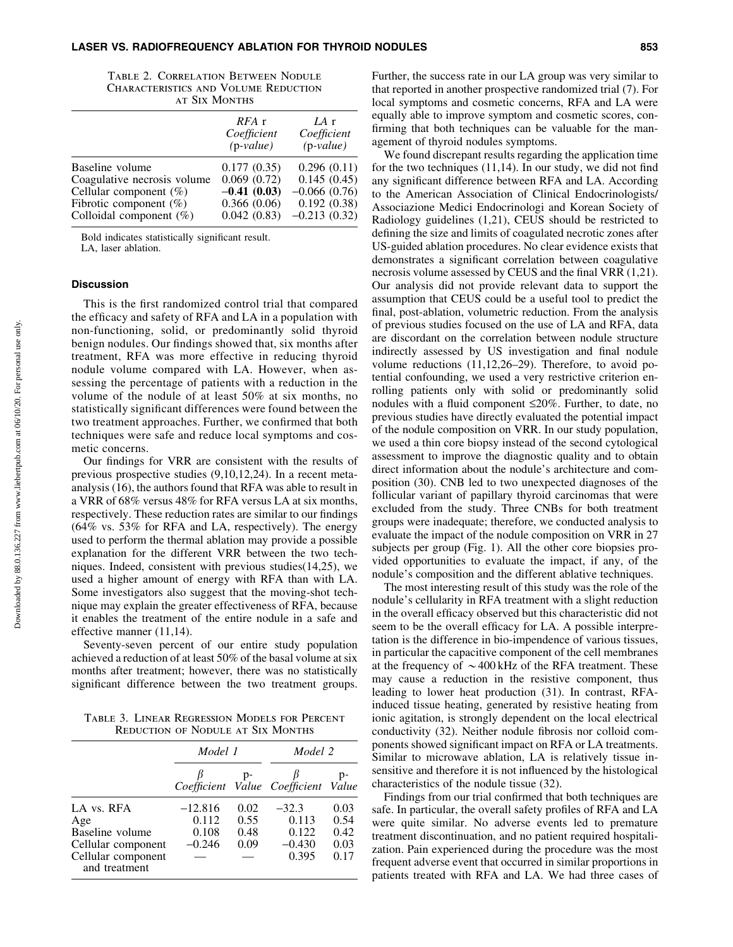| <b>TABLE 2. CORRELATION BETWEEN NODULE</b>  |  |  |  |  |  |
|---------------------------------------------|--|--|--|--|--|
| <b>CHARACTERISTICS AND VOLUME REDUCTION</b> |  |  |  |  |  |
| <b>AT SIX MONTHS</b>                        |  |  |  |  |  |

|                             | $RFA$ r<br>Coefficient<br>$(p-value)$ | IAr<br>Coefficient<br>$(p-value)$ |
|-----------------------------|---------------------------------------|-----------------------------------|
| Baseline volume             | 0.177(0.35)                           | 0.296(0.11)                       |
| Coagulative necrosis volume | 0.069(0.72)                           | 0.145(0.45)                       |
| Cellular component $(\%)$   | $-0.41(0.03)$                         | $-0.066(0.76)$                    |
| Fibrotic component $(\%)$   | 0.366(0.06)                           | 0.192(0.38)                       |
| Colloidal component $(\%)$  | 0.042(0.83)                           | $-0.213(0.32)$                    |

Bold indicates statistically significant result. LA, laser ablation.

## **Discussion**

This is the first randomized control trial that compared the efficacy and safety of RFA and LA in a population with non-functioning, solid, or predominantly solid thyroid benign nodules. Our findings showed that, six months after treatment, RFA was more effective in reducing thyroid nodule volume compared with LA. However, when assessing the percentage of patients with a reduction in the volume of the nodule of at least 50% at six months, no statistically significant differences were found between the two treatment approaches. Further, we confirmed that both techniques were safe and reduce local symptoms and cosmetic concerns.

Our findings for VRR are consistent with the results of previous prospective studies (9,10,12,24). In a recent metaanalysis (16), the authors found that RFA was able to result in a VRR of 68% versus 48% for RFA versus LA at six months, respectively. These reduction rates are similar to our findings (64% vs. 53% for RFA and LA, respectively). The energy used to perform the thermal ablation may provide a possible explanation for the different VRR between the two techniques. Indeed, consistent with previous studies(14,25), we used a higher amount of energy with RFA than with LA. Some investigators also suggest that the moving-shot technique may explain the greater effectiveness of RFA, because it enables the treatment of the entire nodule in a safe and effective manner (11,14).

Seventy-seven percent of our entire study population achieved a reduction of at least 50% of the basal volume at six months after treatment; however, there was no statistically significant difference between the two treatment groups.

Table 3. Linear Regression Models for Percent Reduction of Nodule at Six Months

|                                     | Model 1   |      | Model 2                             |      |  |
|-------------------------------------|-----------|------|-------------------------------------|------|--|
|                                     |           | $p-$ | Coefficient Value Coefficient Value | p-   |  |
| LA vs. RFA                          | $-12.816$ | 0.02 | $-32.3$                             | 0.03 |  |
| Age                                 | 0.112     | 0.55 | 0.113                               | 0.54 |  |
| Baseline volume                     | 0.108     | 0.48 | 0.122                               | 0.42 |  |
| Cellular component                  | $-0.246$  | 0.09 | $-0.430$                            | 0.03 |  |
| Cellular component<br>and treatment |           |      | 0.395                               | 0.17 |  |

Further, the success rate in our LA group was very similar to that reported in another prospective randomized trial (7). For local symptoms and cosmetic concerns, RFA and LA were equally able to improve symptom and cosmetic scores, confirming that both techniques can be valuable for the management of thyroid nodules symptoms.

We found discrepant results regarding the application time for the two techniques (11,14). In our study, we did not find any significant difference between RFA and LA. According to the American Association of Clinical Endocrinologists/ Associazione Medici Endocrinologi and Korean Society of Radiology guidelines (1,21), CEUS should be restricted to defining the size and limits of coagulated necrotic zones after US-guided ablation procedures. No clear evidence exists that demonstrates a significant correlation between coagulative necrosis volume assessed by CEUS and the final VRR (1,21). Our analysis did not provide relevant data to support the assumption that CEUS could be a useful tool to predict the final, post-ablation, volumetric reduction. From the analysis of previous studies focused on the use of LA and RFA, data are discordant on the correlation between nodule structure indirectly assessed by US investigation and final nodule volume reductions (11,12,26–29). Therefore, to avoid potential confounding, we used a very restrictive criterion enrolling patients only with solid or predominantly solid nodules with a fluid component  $\leq 20\%$ . Further, to date, no previous studies have directly evaluated the potential impact of the nodule composition on VRR. In our study population, we used a thin core biopsy instead of the second cytological assessment to improve the diagnostic quality and to obtain direct information about the nodule's architecture and composition (30). CNB led to two unexpected diagnoses of the follicular variant of papillary thyroid carcinomas that were excluded from the study. Three CNBs for both treatment groups were inadequate; therefore, we conducted analysis to evaluate the impact of the nodule composition on VRR in 27 subjects per group (Fig. 1). All the other core biopsies provided opportunities to evaluate the impact, if any, of the nodule's composition and the different ablative techniques.

The most interesting result of this study was the role of the nodule's cellularity in RFA treatment with a slight reduction in the overall efficacy observed but this characteristic did not seem to be the overall efficacy for LA. A possible interpretation is the difference in bio-impendence of various tissues, in particular the capacitive component of the cell membranes at the frequency of  $\sim$  400 kHz of the RFA treatment. These may cause a reduction in the resistive component, thus leading to lower heat production (31). In contrast, RFAinduced tissue heating, generated by resistive heating from ionic agitation, is strongly dependent on the local electrical conductivity (32). Neither nodule fibrosis nor colloid components showed significant impact on RFA or LA treatments. Similar to microwave ablation, LA is relatively tissue insensitive and therefore it is not influenced by the histological characteristics of the nodule tissue (32).

Findings from our trial confirmed that both techniques are safe. In particular, the overall safety profiles of RFA and LA were quite similar. No adverse events led to premature treatment discontinuation, and no patient required hospitalization. Pain experienced during the procedure was the most frequent adverse event that occurred in similar proportions in patients treated with RFA and LA. We had three cases of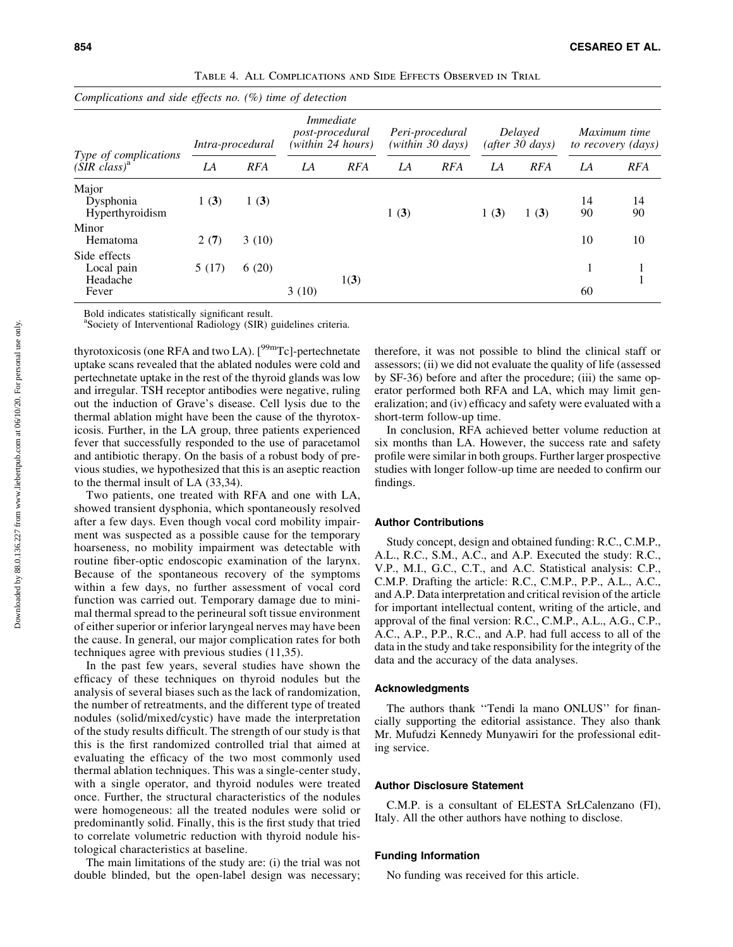| Complications and side effects no. $(\%)$ time of detection |                  |            |                                                          |            |                                     |            |                            |            |                                    |            |
|-------------------------------------------------------------|------------------|------------|----------------------------------------------------------|------------|-------------------------------------|------------|----------------------------|------------|------------------------------------|------------|
| Type of complications<br>$(SIR \; class)^a$                 | Intra-procedural |            | Immediate<br><i>post-procedural</i><br>(within 24 hours) |            | Peri-procedural<br>(within 30 days) |            | Delayed<br>(after 30 days) |            | Maximum time<br>to recovery (days) |            |
|                                                             | LA               | <b>RFA</b> | LA                                                       | <b>RFA</b> | LA                                  | <b>RFA</b> | LA                         | <b>RFA</b> | LA                                 | <b>RFA</b> |
| Major<br>Dysphonia<br>Hyperthyroidism                       | 1(3)             | 1(3)       |                                                          |            | 1(3)                                |            | 1(3)                       | 1(3)       | 14<br>90                           | 14<br>90   |
| Minor<br>Hematoma                                           | 2(7)             | 3(10)      |                                                          |            |                                     |            |                            |            | 10                                 | 10         |
| Side effects<br>Local pain<br>Headache<br>Fever             | 5(17)            | 6(20)      | 3(10)                                                    | 1(3)       |                                     |            |                            |            | 60                                 |            |

Table 4. All Complications and Side Effects Observed in Trial

Bold indicates statistically significant result.

a Society of Interventional Radiology (SIR) guidelines criteria.

thyrotoxicosis (one RFA and two LA).  $[<sup>99m</sup>Tc]$ -pertechnetate uptake scans revealed that the ablated nodules were cold and pertechnetate uptake in the rest of the thyroid glands was low and irregular. TSH receptor antibodies were negative, ruling out the induction of Grave's disease. Cell lysis due to the thermal ablation might have been the cause of the thyrotoxicosis. Further, in the LA group, three patients experienced fever that successfully responded to the use of paracetamol and antibiotic therapy. On the basis of a robust body of previous studies, we hypothesized that this is an aseptic reaction to the thermal insult of LA (33,34).

Two patients, one treated with RFA and one with LA, showed transient dysphonia, which spontaneously resolved after a few days. Even though vocal cord mobility impairment was suspected as a possible cause for the temporary hoarseness, no mobility impairment was detectable with routine fiber-optic endoscopic examination of the larynx. Because of the spontaneous recovery of the symptoms within a few days, no further assessment of vocal cord function was carried out. Temporary damage due to minimal thermal spread to the perineural soft tissue environment of either superior or inferior laryngeal nerves may have been the cause. In general, our major complication rates for both techniques agree with previous studies (11,35).

In the past few years, several studies have shown the efficacy of these techniques on thyroid nodules but the analysis of several biases such as the lack of randomization, the number of retreatments, and the different type of treated nodules (solid/mixed/cystic) have made the interpretation of the study results difficult. The strength of our study is that this is the first randomized controlled trial that aimed at evaluating the efficacy of the two most commonly used thermal ablation techniques. This was a single-center study, with a single operator, and thyroid nodules were treated once. Further, the structural characteristics of the nodules were homogeneous: all the treated nodules were solid or predominantly solid. Finally, this is the first study that tried to correlate volumetric reduction with thyroid nodule histological characteristics at baseline.

The main limitations of the study are: (i) the trial was not double blinded, but the open-label design was necessary;

therefore, it was not possible to blind the clinical staff or assessors; (ii) we did not evaluate the quality of life (assessed by SF-36) before and after the procedure; (iii) the same operator performed both RFA and LA, which may limit generalization; and (iv) efficacy and safety were evaluated with a short-term follow-up time.

In conclusion, RFA achieved better volume reduction at six months than LA. However, the success rate and safety profile were similar in both groups. Further larger prospective studies with longer follow-up time are needed to confirm our findings.

#### Author Contributions

Study concept, design and obtained funding: R.C., C.M.P., A.L., R.C., S.M., A.C., and A.P. Executed the study: R.C., V.P., M.I., G.C., C.T., and A.C. Statistical analysis: C.P., C.M.P. Drafting the article: R.C., C.M.P., P.P., A.L., A.C., and A.P. Data interpretation and critical revision of the article for important intellectual content, writing of the article, and approval of the final version: R.C., C.M.P., A.L., A.G., C.P., A.C., A.P., P.P., R.C., and A.P. had full access to all of the data in the study and take responsibility for the integrity of the data and the accuracy of the data analyses.

## Acknowledgments

The authors thank ''Tendi la mano ONLUS'' for financially supporting the editorial assistance. They also thank Mr. Mufudzi Kennedy Munyawiri for the professional editing service.

#### Author Disclosure Statement

C.M.P. is a consultant of ELESTA SrLCalenzano (FI), Italy. All the other authors have nothing to disclose.

## Funding Information

No funding was received for this article.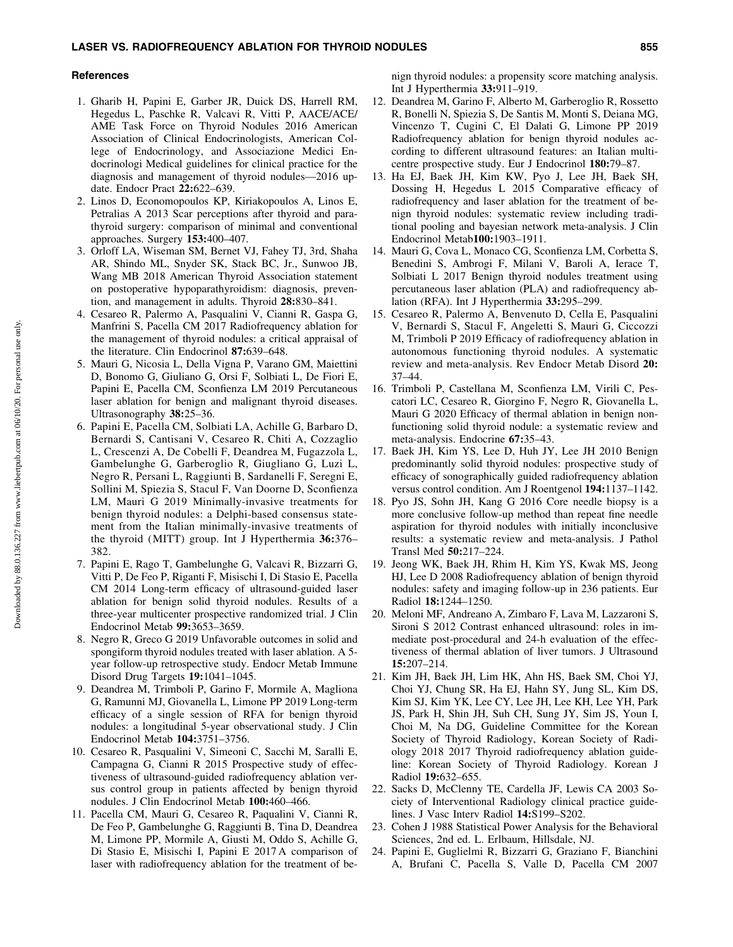#### **References**

- 1. Gharib H, Papini E, Garber JR, Duick DS, Harrell RM, Hegedus L, Paschke R, Valcavi R, Vitti P, AACE/ACE/ AME Task Force on Thyroid Nodules 2016 American Association of Clinical Endocrinologists, American College of Endocrinology, and Associazione Medici Endocrinologi Medical guidelines for clinical practice for the diagnosis and management of thyroid nodules—2016 update. Endocr Pract 22:622–639.
- 2. Linos D, Economopoulos KP, Kiriakopoulos A, Linos E, Petralias A 2013 Scar perceptions after thyroid and parathyroid surgery: comparison of minimal and conventional approaches. Surgery 153:400–407.
- 3. Orloff LA, Wiseman SM, Bernet VJ, Fahey TJ, 3rd, Shaha AR, Shindo ML, Snyder SK, Stack BC, Jr., Sunwoo JB, Wang MB 2018 American Thyroid Association statement on postoperative hypoparathyroidism: diagnosis, prevention, and management in adults. Thyroid 28:830–841.
- 4. Cesareo R, Palermo A, Pasqualini V, Cianni R, Gaspa G, Manfrini S, Pacella CM 2017 Radiofrequency ablation for the management of thyroid nodules: a critical appraisal of the literature. Clin Endocrinol 87:639–648.
- 5. Mauri G, Nicosia L, Della Vigna P, Varano GM, Maiettini D, Bonomo G, Giuliano G, Orsi F, Solbiati L, De Fiori E, Papini E, Pacella CM, Sconfienza LM 2019 Percutaneous laser ablation for benign and malignant thyroid diseases. Ultrasonography 38:25–36.
- 6. Papini E, Pacella CM, Solbiati LA, Achille G, Barbaro D, Bernardi S, Cantisani V, Cesareo R, Chiti A, Cozzaglio L, Crescenzi A, De Cobelli F, Deandrea M, Fugazzola L, Gambelunghe G, Garberoglio R, Giugliano G, Luzi L, Negro R, Persani L, Raggiunti B, Sardanelli F, Seregni E, Sollini M, Spiezia S, Stacul F, Van Doorne D, Sconfienza LM, Mauri G 2019 Minimally-invasive treatments for benign thyroid nodules: a Delphi-based consensus statement from the Italian minimally-invasive treatments of the thyroid (MITT) group. Int J Hyperthermia 36:376– 382.
- 7. Papini E, Rago T, Gambelunghe G, Valcavi R, Bizzarri G, Vitti P, De Feo P, Riganti F, Misischi I, Di Stasio E, Pacella CM 2014 Long-term efficacy of ultrasound-guided laser ablation for benign solid thyroid nodules. Results of a three-year multicenter prospective randomized trial. J Clin Endocrinol Metab 99:3653–3659.
- 8. Negro R, Greco G 2019 Unfavorable outcomes in solid and spongiform thyroid nodules treated with laser ablation. A 5 year follow-up retrospective study. Endocr Metab Immune Disord Drug Targets 19:1041–1045.
- 9. Deandrea M, Trimboli P, Garino F, Mormile A, Magliona G, Ramunni MJ, Giovanella L, Limone PP 2019 Long-term efficacy of a single session of RFA for benign thyroid nodules: a longitudinal 5-year observational study. J Clin Endocrinol Metab 104:3751–3756.
- 10. Cesareo R, Pasqualini V, Simeoni C, Sacchi M, Saralli E, Campagna G, Cianni R 2015 Prospective study of effectiveness of ultrasound-guided radiofrequency ablation versus control group in patients affected by benign thyroid nodules. J Clin Endocrinol Metab 100:460–466.
- 11. Pacella CM, Mauri G, Cesareo R, Paqualini V, Cianni R, De Feo P, Gambelunghe G, Raggiunti B, Tina D, Deandrea M, Limone PP, Mormile A, Giusti M, Oddo S, Achille G, Di Stasio E, Misischi I, Papini E 2017 A comparison of laser with radiofrequency ablation for the treatment of be-

nign thyroid nodules: a propensity score matching analysis. Int J Hyperthermia 33:911–919.

- 12. Deandrea M, Garino F, Alberto M, Garberoglio R, Rossetto R, Bonelli N, Spiezia S, De Santis M, Monti S, Deiana MG, Vincenzo T, Cugini C, El Dalati G, Limone PP 2019 Radiofrequency ablation for benign thyroid nodules according to different ultrasound features: an Italian multicentre prospective study. Eur J Endocrinol 180:79–87.
- 13. Ha EJ, Baek JH, Kim KW, Pyo J, Lee JH, Baek SH, Dossing H, Hegedus L 2015 Comparative efficacy of radiofrequency and laser ablation for the treatment of benign thyroid nodules: systematic review including traditional pooling and bayesian network meta-analysis. J Clin Endocrinol Metab100:1903–1911.
- 14. Mauri G, Cova L, Monaco CG, Sconfienza LM, Corbetta S, Benedini S, Ambrogi F, Milani V, Baroli A, Ierace T, Solbiati L 2017 Benign thyroid nodules treatment using percutaneous laser ablation (PLA) and radiofrequency ablation (RFA). Int J Hyperthermia 33:295–299.
- 15. Cesareo R, Palermo A, Benvenuto D, Cella E, Pasqualini V, Bernardi S, Stacul F, Angeletti S, Mauri G, Ciccozzi M, Trimboli P 2019 Efficacy of radiofrequency ablation in autonomous functioning thyroid nodules. A systematic review and meta-analysis. Rev Endocr Metab Disord 20: 37–44.
- 16. Trimboli P, Castellana M, Sconfienza LM, Virili C, Pescatori LC, Cesareo R, Giorgino F, Negro R, Giovanella L, Mauri G 2020 Efficacy of thermal ablation in benign nonfunctioning solid thyroid nodule: a systematic review and meta-analysis. Endocrine 67:35–43.
- 17. Baek JH, Kim YS, Lee D, Huh JY, Lee JH 2010 Benign predominantly solid thyroid nodules: prospective study of efficacy of sonographically guided radiofrequency ablation versus control condition. Am J Roentgenol 194:1137–1142.
- 18. Pyo JS, Sohn JH, Kang G 2016 Core needle biopsy is a more conclusive follow-up method than repeat fine needle aspiration for thyroid nodules with initially inconclusive results: a systematic review and meta-analysis. J Pathol Transl Med 50:217–224.
- 19. Jeong WK, Baek JH, Rhim H, Kim YS, Kwak MS, Jeong HJ, Lee D 2008 Radiofrequency ablation of benign thyroid nodules: safety and imaging follow-up in 236 patients. Eur Radiol 18:1244–1250.
- 20. Meloni MF, Andreano A, Zimbaro F, Lava M, Lazzaroni S, Sironi S 2012 Contrast enhanced ultrasound: roles in immediate post-procedural and 24-h evaluation of the effectiveness of thermal ablation of liver tumors. J Ultrasound 15:207–214.
- 21. Kim JH, Baek JH, Lim HK, Ahn HS, Baek SM, Choi YJ, Choi YJ, Chung SR, Ha EJ, Hahn SY, Jung SL, Kim DS, Kim SJ, Kim YK, Lee CY, Lee JH, Lee KH, Lee YH, Park JS, Park H, Shin JH, Suh CH, Sung JY, Sim JS, Youn I, Choi M, Na DG, Guideline Committee for the Korean Society of Thyroid Radiology, Korean Society of Radiology 2018 2017 Thyroid radiofrequency ablation guideline: Korean Society of Thyroid Radiology. Korean J Radiol 19:632–655.
- 22. Sacks D, McClenny TE, Cardella JF, Lewis CA 2003 Society of Interventional Radiology clinical practice guidelines. J Vasc Interv Radiol 14:S199–S202.
- 23. Cohen J 1988 Statistical Power Analysis for the Behavioral Sciences, 2nd ed. L. Erlbaum, Hillsdale, NJ.
- 24. Papini E, Guglielmi R, Bizzarri G, Graziano F, Bianchini A, Brufani C, Pacella S, Valle D, Pacella CM 2007